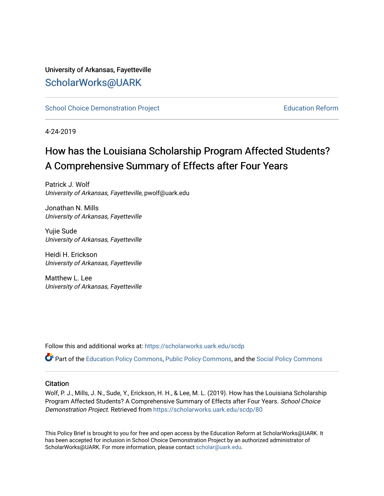# University of Arkansas, Fayetteville [ScholarWorks@UARK](https://scholarworks.uark.edu/)

[School Choice Demonstration Project](https://scholarworks.uark.edu/scdp) **Education Reform** Education Reform

4-24-2019

# How has the Louisiana Scholarship Program Affected Students? A Comprehensive Summary of Effects after Four Years

Patrick J. Wolf University of Arkansas, Fayetteville, pwolf@uark.edu

Jonathan N. Mills University of Arkansas, Fayetteville

Yujie Sude University of Arkansas, Fayetteville

Heidi H. Erickson University of Arkansas, Fayetteville

Matthew L. Lee University of Arkansas, Fayetteville

Follow this and additional works at: [https://scholarworks.uark.edu/scdp](https://scholarworks.uark.edu/scdp?utm_source=scholarworks.uark.edu%2Fscdp%2F80&utm_medium=PDF&utm_campaign=PDFCoverPages) 

Part of the [Education Policy Commons](http://network.bepress.com/hgg/discipline/1026?utm_source=scholarworks.uark.edu%2Fscdp%2F80&utm_medium=PDF&utm_campaign=PDFCoverPages), [Public Policy Commons](http://network.bepress.com/hgg/discipline/400?utm_source=scholarworks.uark.edu%2Fscdp%2F80&utm_medium=PDF&utm_campaign=PDFCoverPages), and the [Social Policy Commons](http://network.bepress.com/hgg/discipline/1030?utm_source=scholarworks.uark.edu%2Fscdp%2F80&utm_medium=PDF&utm_campaign=PDFCoverPages)

#### **Citation**

Wolf, P. J., Mills, J. N., Sude, Y., Erickson, H. H., & Lee, M. L. (2019). How has the Louisiana Scholarship Program Affected Students? A Comprehensive Summary of Effects after Four Years. School Choice Demonstration Project. Retrieved from [https://scholarworks.uark.edu/scdp/80](https://scholarworks.uark.edu/scdp/80?utm_source=scholarworks.uark.edu%2Fscdp%2F80&utm_medium=PDF&utm_campaign=PDFCoverPages) 

This Policy Brief is brought to you for free and open access by the Education Reform at ScholarWorks@UARK. It has been accepted for inclusion in School Choice Demonstration Project by an authorized administrator of ScholarWorks@UARK. For more information, please contact [scholar@uark.edu](mailto:scholar@uark.edu).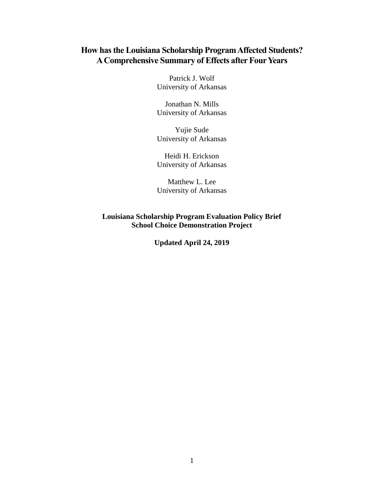## **How has the Louisiana Scholarship ProgramAffected Students?** A Comprehensive Summary of Effects after Four Years

Patrick J. Wolf University of Arkansas

Jonathan N. Mills University of Arkansas

Yujie Sude University of Arkansas

Heidi H. Erickson University of Arkansas

Matthew L. Lee University of Arkansas

**Louisiana Scholarship Program Evaluation Policy Brief School Choice Demonstration Project**

**Updated April 24, 2019**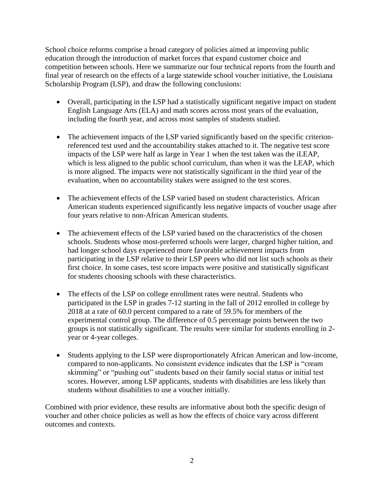School choice reforms comprise a broad category of policies aimed at improving public education through the introduction of market forces that expand customer choice and competition between schools. Here we summarize our four technical reports from the fourth and final year of research on the effects of a large statewide school voucher initiative, the Louisiana Scholarship Program (LSP), and draw the following conclusions:

- Overall, participating in the LSP had a statistically significant negative impact on student English Language Arts (ELA) and math scores across most years of the evaluation, including the fourth year, and across most samples of students studied.
- The achievement impacts of the LSP varied significantly based on the specific criterionreferenced test used and the accountability stakes attached to it. The negative test score impacts of the LSP were half as large in Year 1 when the test taken was the iLEAP, which is less aligned to the public school curriculum, than when it was the LEAP, which is more aligned. The impacts were not statistically significant in the third year of the evaluation, when no accountability stakes were assigned to the test scores.
- The achievement effects of the LSP varied based on student characteristics. African American students experienced significantly less negative impacts of voucher usage after four years relative to non-African American students.
- The achievement effects of the LSP varied based on the characteristics of the chosen schools. Students whose most-preferred schools were larger, charged higher tuition, and had longer school days experienced more favorable achievement impacts from participating in the LSP relative to their LSP peers who did not list such schools as their first choice. In some cases, test score impacts were positive and statistically significant for students choosing schools with these characteristics.
- The effects of the LSP on college enrollment rates were neutral. Students who participated in the LSP in grades 7-12 starting in the fall of 2012 enrolled in college by 2018 at a rate of 60.0 percent compared to a rate of 59.5% for members of the experimental control group. The difference of 0.5 percentage points between the two groups is not statistically significant. The results were similar for students enrolling in 2 year or 4-year colleges.
- Students applying to the LSP were disproportionately African American and low-income, compared to non-applicants. No consistent evidence indicates that the LSP is "cream skimming" or "pushing out" students based on their family social status or initial test scores. However, among LSP applicants, students with disabilities are less likely than students without disabilities to use a voucher initially.

Combined with prior evidence, these results are informative about both the specific design of voucher and other choice policies as well as how the effects of choice vary across different outcomes and contexts.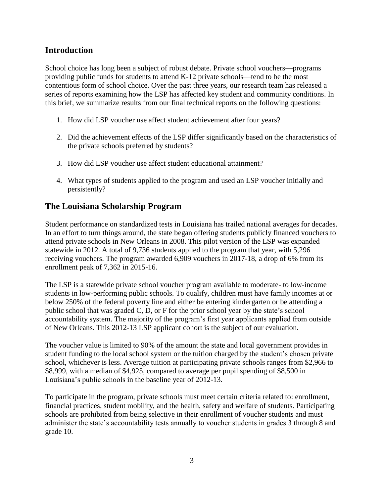#### **Introduction**

School choice has long been a subject of robust debate. Private school vouchers—programs providing public funds for students to attend K-12 private schools—tend to be the most contentious form of school choice. Over the past three years, our research team has released a series of reports examining how the LSP has affected key student and community conditions. In this brief, we summarize results from our final technical reports on the following questions:

- 1. How did LSP voucher use affect student achievement after four years?
- 2. Did the achievement effects of the LSP differ significantly based on the characteristics of the private schools preferred by students?
- 3. How did LSP voucher use affect student educational attainment?
- 4. What types of students applied to the program and used an LSP voucher initially and persistently?

## **The Louisiana Scholarship Program**

Student performance on standardized tests in Louisiana has trailed national averages for decades. In an effort to turn things around, the state began offering students publicly financed vouchers to attend private schools in New Orleans in 2008. This pilot version of the LSP was expanded statewide in 2012. A total of 9,736 students applied to the program that year, with 5,296 receiving vouchers. The program awarded 6,909 vouchers in 2017-18, a drop of 6% from its enrollment peak of 7,362 in 2015-16.

The LSP is a statewide private school voucher program available to moderate- to low-income students in low-performing public schools. To qualify, children must have family incomes at or below 250% of the federal poverty line and either be entering kindergarten or be attending a public school that was graded C, D, or F for the prior school year by the state's school accountability system. The majority of the program's first year applicants applied from outside of New Orleans. This 2012-13 LSP applicant cohort is the subject of our evaluation.

The voucher value is limited to 90% of the amount the state and local government provides in student funding to the local school system or the tuition charged by the student's chosen private school, whichever is less. Average tuition at participating private schools ranges from \$2,966 to \$8,999, with a median of \$4,925, compared to average per pupil spending of \$8,500 in Louisiana's public schools in the baseline year of 2012-13.

To participate in the program, private schools must meet certain criteria related to: enrollment, financial practices, student mobility, and the health, safety and welfare of students. Participating schools are prohibited from being selective in their enrollment of voucher students and must administer the state's accountability tests annually to voucher students in grades 3 through 8 and grade 10.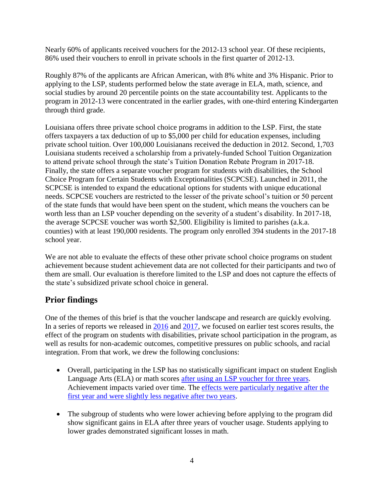Nearly 60% of applicants received vouchers for the 2012-13 school year. Of these recipients, 86% used their vouchers to enroll in private schools in the first quarter of 2012-13.

Roughly 87% of the applicants are African American, with 8% white and 3% Hispanic. Prior to applying to the LSP, students performed below the state average in ELA, math, science, and social studies by around 20 percentile points on the state accountability test. Applicants to the program in 2012-13 were concentrated in the earlier grades, with one-third entering Kindergarten through third grade.

Louisiana offers three private school choice programs in addition to the LSP. First, the state offers taxpayers a tax deduction of up to \$5,000 per child for education expenses, including private school tuition. Over 100,000 Louisianans received the deduction in 2012. Second, 1,703 Louisiana students received a scholarship from a privately-funded School Tuition Organization to attend private school through the state's Tuition Donation Rebate Program in 2017-18. Finally, the state offers a separate voucher program for students with disabilities, the School Choice Program for Certain Students with Exceptionalities (SCPCSE). Launched in 2011, the SCPCSE is intended to expand the educational options for students with unique educational needs. SCPCSE vouchers are restricted to the lesser of the private school's tuition or 50 percent of the state funds that would have been spent on the student, which means the vouchers can be worth less than an LSP voucher depending on the severity of a student's disability. In 2017-18, the average SCPCSE voucher was worth \$2,500. Eligibility is limited to parishes (a.k.a. counties) with at least 190,000 residents. The program only enrolled 394 students in the 2017-18 school year.

We are not able to evaluate the effects of these other private school choice programs on student achievement because student achievement data are not collected for their participants and two of them are small. Our evaluation is therefore limited to the LSP and does not capture the effects of the state's subsidized private school choice in general.

## **Prior findings**

One of the themes of this brief is that the voucher landscape and research are quickly evolving. In a series of reports we released in [2016](https://cpb-us-e1.wpmucdn.com/wordpressua.uark.edu/dist/9/544/files/2018/10/policy-brief-how-has-the-louisiana-scholarship-program-affected-students-1vy88h7.pdf) and [2017,](https://cpb-us-e1.wpmucdn.com/wordpressua.uark.edu/dist/9/544/files/2017/06/ERA1706-Policy-Brief-Louisiana-Scholarship-Program-170626-1vk4sdv.pdf) we focused on earlier test scores results, the effect of the program on students with disabilities, private school participation in the program, as well as results for non-academic outcomes, competitive pressures on public schools, and racial integration. From that work, we drew the following conclusions:

- Overall, participating in the LSP has no statistically significant impact on student English Language Arts (ELA) or math scores [after using an LSP voucher](https://cpb-us-e1.wpmucdn.com/wordpressua.uark.edu/dist/9/544/files/2018/10/the-effects-of-the-louisiana-scholarship-program-on-student-achievement-after-three-years-sau173.pdf) for three years. Achievement impacts varied over time. The [effects were particularly negative after the](https://journals.sagepub.com/stoken/default+domain/rny5Jru8VdKdTrgeRBkd/full)  first year [and were slightly less negative after two years.](https://journals.sagepub.com/stoken/default+domain/rny5Jru8VdKdTrgeRBkd/full)
- The subgroup of students who were lower achieving before applying to the program did show significant gains in ELA after three years of voucher usage. Students applying to lower grades demonstrated significant losses in math.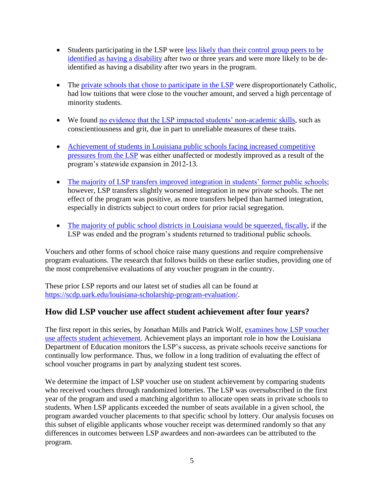- Students participating in the LSP were [less likely than their control group peers to be](https://cpb-us-e1.wpmucdn.com/wordpressua.uark.edu/dist/9/544/files/2018/10/special-education-identification-in-the-louisiana-scholarship-program-1wpgm35.pdf)  [identified as having a disability](https://cpb-us-e1.wpmucdn.com/wordpressua.uark.edu/dist/9/544/files/2018/10/special-education-identification-in-the-louisiana-scholarship-program-1wpgm35.pdf) after two or three years and were more likely to be deidentified as having a disability after two years in the program.
- The [private schools that chose to participate in the LSP](https://cpb-us-e1.wpmucdn.com/wordpressua.uark.edu/dist/9/544/files/2018/10/supplying-choice-an-analysis-of-school-participation-decisions-in-voucher-programs-in-dc-indiana-and-louisiana-2b4v28i.pdf) were disproportionately Catholic, had low tuitions that were close to the voucher amount, and served a high percentage of minority students.
- We found [no evidence that the LSP impacted students' non-academic skills,](https://papers.ssrn.com/sol3/papers.cfm?abstract_id=2738782) such as conscientiousness and grit, due in part to unreliable measures of these traits.
- [Achievement of students in Louisiana public schools facing increased competitive](https://www.mitpressjournals.org/doi/abs/10.1162/edfp_a_00286)  [pressures from the LSP](https://www.mitpressjournals.org/doi/abs/10.1162/edfp_a_00286) was either unaffected or modestly improved as a result of the program's statewide expansion in 2012-13.
- [The majority of LSP transfers improved integration in](https://journals.sagepub.com/doi/full/10.1177/0013124516643760) students' former public schools; however, LSP transfers slightly worsened integration in new private schools. The net effect of the program was positive, as more transfers helped than harmed integration, especially in districts subject to court orders for prior racial segregation.
- [The majority of public school districts in Louisiana would be squeezed, fiscally,](https://cpb-us-e1.wpmucdn.com/wordpressua.uark.edu/dist/9/544/files/2018/10/squeezing-the-public-school-districts-the-fiscal-effects-of-eliminating-the-louisiana-scholarship-program-1r1c388.pdf) if the LSP was ended and the program's students returned to traditional public schools.

Vouchers and other forms of school choice raise many questions and require comprehensive program evaluations. The research that follows builds on these earlier studies, providing one of the most comprehensive evaluations of any voucher program in the country.

These prior LSP reports and our latest set of studies all can be found at [https://scdp.uark.edu/louisiana-scholarship-program-evaluation/.](https://scdp.uark.edu/louisiana-scholarship-program-evaluation/)

## **How did LSP voucher use affect student achievement after four years?**

The first report in this series, by Jonathan Mills and Patrick Wolf, [examines how LSP voucher](https://papers.ssrn.com/sol3/papers.cfm?abstract_id=3376230)  use [affects student achievement.](https://papers.ssrn.com/sol3/papers.cfm?abstract_id=3376230) Achievement plays an important role in how the Louisiana Department of Education monitors the LSP's success, as private schools receive sanctions for continually low performance. Thus, we follow in a long tradition of evaluating the effect of school voucher programs in part by analyzing student test scores.

We determine the impact of LSP voucher use on student achievement by comparing students who received vouchers through randomized lotteries. The LSP was oversubscribed in the first year of the program and used a matching algorithm to allocate open seats in private schools to students. When LSP applicants exceeded the number of seats available in a given school, the program awarded voucher placements to that specific school by lottery. Our analysis focuses on this subset of eligible applicants whose voucher receipt was determined randomly so that any differences in outcomes between LSP awardees and non-awardees can be attributed to the program.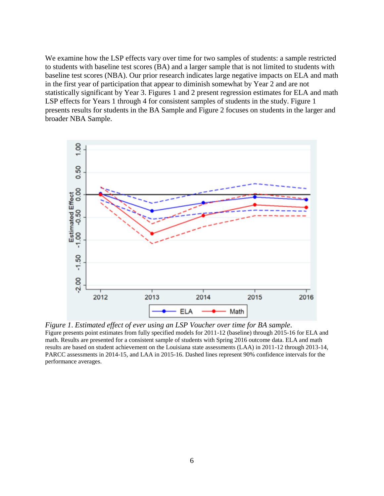We examine how the LSP effects vary over time for two samples of students: a sample restricted to students with baseline test scores (BA) and a larger sample that is not limited to students with baseline test scores (NBA). Our prior research indicates large negative impacts on ELA and math in the first year of participation that appear to diminish somewhat by Year 2 and are not statistically significant by Year 3. Figures 1 and 2 present regression estimates for ELA and math LSP effects for Years 1 through 4 for consistent samples of students in the study. Figure 1 presents results for students in the BA Sample and Figure 2 focuses on students in the larger and broader NBA Sample.



*Figure 1*. *Estimated effect of ever using an LSP Voucher over time for BA sample*.

Figure presents point estimates from fully specified models for 2011-12 (baseline) through 2015-16 for ELA and math. Results are presented for a consistent sample of students with Spring 2016 outcome data. ELA and math results are based on student achievement on the Louisiana state assessments (LAA) in 2011-12 through 2013-14, PARCC assessments in 2014-15, and LAA in 2015-16. Dashed lines represent 90% confidence intervals for the performance averages.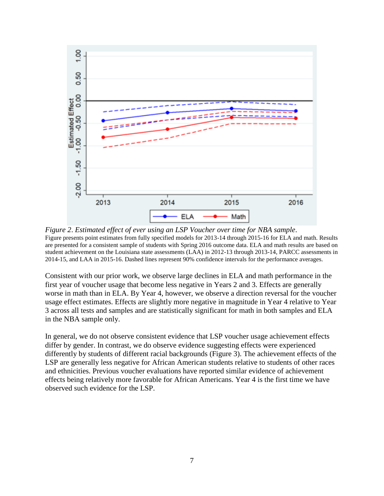

*Figure 2*. *Estimated effect of ever using an LSP Voucher over time for NBA sample*. Figure presents point estimates from fully specified models for 2013-14 through 2015-16 for ELA and math. Results are presented for a consistent sample of students with Spring 2016 outcome data. ELA and math results are based on student achievement on the Louisiana state assessments (LAA) in 2012-13 through 2013-14, PARCC assessments in 2014-15, and LAA in 2015-16. Dashed lines represent 90% confidence intervals for the performance averages.

Consistent with our prior work, we observe large declines in ELA and math performance in the first year of voucher usage that become less negative in Years 2 and 3. Effects are generally worse in math than in ELA. By Year 4, however, we observe a direction reversal for the voucher usage effect estimates. Effects are slightly more negative in magnitude in Year 4 relative to Year 3 across all tests and samples and are statistically significant for math in both samples and ELA in the NBA sample only.

In general, we do not observe consistent evidence that LSP voucher usage achievement effects differ by gender. In contrast, we do observe evidence suggesting effects were experienced differently by students of different racial backgrounds (Figure 3). The achievement effects of the LSP are generally less negative for African American students relative to students of other races and ethnicities. Previous voucher evaluations have reported similar evidence of achievement effects being relatively more favorable for African Americans. Year 4 is the first time we have observed such evidence for the LSP.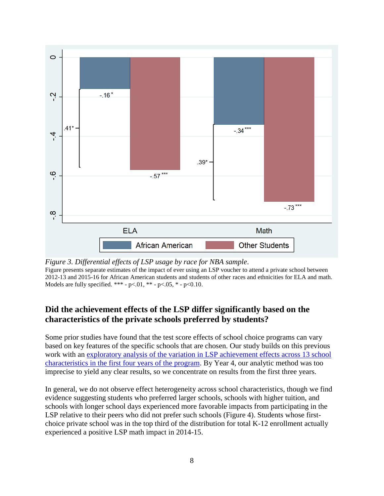

*Figure 3. Differential effects of LSP usage by race for NBA sample*. Figure presents separate estimates of the impact of ever using an LSP voucher to attend a private school between 2012-13 and 2015-16 for African American students and students of other races and ethnicities for ELA and math. Models are fully specified. \*\*\* -  $p<.01$ , \*\* -  $p<.05$ , \* -  $p<.010$ .

# **Did the achievement effects of the LSP differ significantly based on the characteristics of the private schools preferred by students?**

Some prior studies have found that the test score effects of school choice programs can vary based on key features of the specific schools that are chosen. Our study builds on this previous work with an [exploratory analysis of the variation in LSP achievement effects across 13 school](https://papers.ssrn.com/sol3/papers.cfm?abstract_id=3376234)  [characteristics in the first four years of the program.](https://papers.ssrn.com/sol3/papers.cfm?abstract_id=3376234) By Year 4, our analytic method was too imprecise to yield any clear results, so we concentrate on results from the first three years.

In general, we do not observe effect heterogeneity across school characteristics, though we find evidence suggesting students who preferred larger schools, schools with higher tuition, and schools with longer school days experienced more favorable impacts from participating in the LSP relative to their peers who did not prefer such schools (Figure 4). Students whose firstchoice private school was in the top third of the distribution for total K-12 enrollment actually experienced a positive LSP math impact in 2014-15.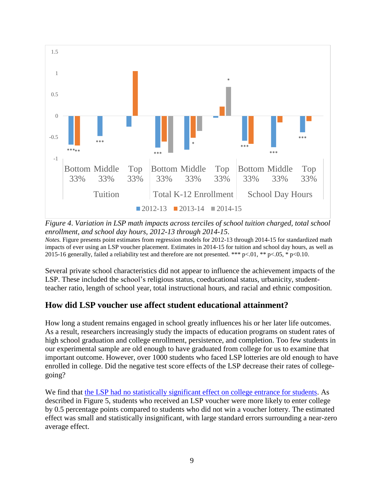

*Figure 4*. *Variation in LSP math impacts across terciles of school tuition charged, total school enrollment, and school day hours, 2012-13 through 2014-15*.

*Notes.* Figure presents point estimates from regression models for 2012-13 through 2014-15 for standardized math impacts of ever using an LSP voucher placement. Estimates in 2014-15 for tuition and school day hours, as well as 2015-16 generally, failed a reliability test and therefore are not presented. \*\*\*  $p<01$ , \*\*  $p<05$ , \*  $p<0.10$ .

Several private school characteristics did not appear to influence the achievement impacts of the LSP. These included the school's religious status, coeducational status, urbanicity, studentteacher ratio, length of school year, total instructional hours, and racial and ethnic composition.

## **How did LSP voucher use affect student educational attainment?**

How long a student remains engaged in school greatly influences his or her later life outcomes. As a result, researchers increasingly study the impacts of education programs on student rates of high school graduation and college enrollment, persistence, and completion. Too few students in our experimental sample are old enough to have graduated from college for us to examine that important outcome. However, over 1000 students who faced LSP lotteries are old enough to have enrolled in college. Did the negative test score effects of the LSP decrease their rates of collegegoing?

We find that the LSP had [no statistically significant effect on college entrance for students.](https://papers.ssrn.com/sol3/papers.cfm?abstract_id=3376236) As described in Figure 5, students who received an LSP voucher were more likely to enter college by 0.5 percentage points compared to students who did not win a voucher lottery. The estimated effect was small and statistically insignificant, with large standard errors surrounding a near-zero average effect.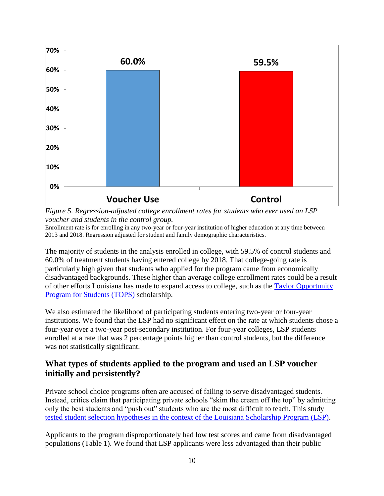

*Figure 5. Regression-adjusted college enrollment rates for students who ever used an LSP voucher and students in the control group.*

Enrollment rate is for enrolling in any two-year or four-year institution of higher education at any time between 2013 and 2018. Regression adjusted for student and family demographic characteristics.

The majority of students in the analysis enrolled in college, with 59.5% of control students and 60.0% of treatment students having entered college by 2018. That college-going rate is particularly high given that students who applied for the program came from economically disadvantaged backgrounds. These higher than average college enrollment rates could be a result of other efforts Louisiana has made to expand access to college, such as the [Taylor Opportunity](https://www.osfa.la.gov/tops_mainlink.html)  [Program for Students \(TOPS\)](https://www.osfa.la.gov/tops_mainlink.html) scholarship.

We also estimated the likelihood of participating students entering two-year or four-year institutions. We found that the LSP had no significant effect on the rate at which students chose a four-year over a two-year post-secondary institution. For four-year colleges, LSP students enrolled at a rate that was 2 percentage points higher than control students, but the difference was not statistically significant.

## **What types of students applied to the program and used an LSP voucher initially and persistently?**

Private school choice programs often are accused of failing to serve disadvantaged students. Instead, critics claim that participating private schools "skim the cream off the top" by admitting only the best students and "push out" students who are the most difficult to teach. This study tested [student selection hypotheses in the context of the Louisiana Scholarship Program \(LSP\).](https://papers.ssrn.com/sol3/papers.cfm?abstract_id=3376236)

Applicants to the program disproportionately had low test scores and came from disadvantaged populations (Table 1). We found that LSP applicants were less advantaged than their public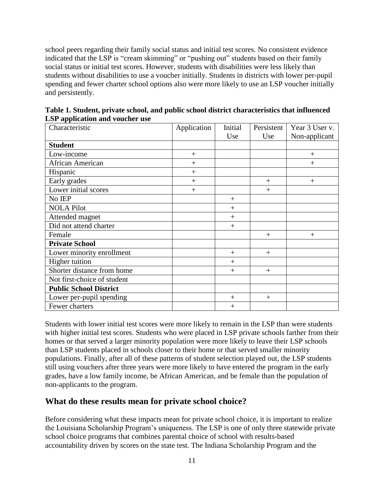school peers regarding their family social status and initial test scores. No consistent evidence indicated that the LSP is "cream skimming" or "pushing out" students based on their family social status or initial test scores. However, students with disabilities were less likely than students without disabilities to use a voucher initially. Students in districts with lower per-pupil spending and fewer charter school options also were more likely to use an LSP voucher initially and persistently.

| Characteristic                | Application | Initial | Persistent | Year 3 User v. |
|-------------------------------|-------------|---------|------------|----------------|
|                               |             | Use     | Use        | Non-applicant  |
| <b>Student</b>                |             |         |            |                |
| Low-income                    | $^{+}$      |         |            | $^{+}$         |
| African American              | $+$         |         |            | $+$            |
| Hispanic                      | $+$         |         |            |                |
| Early grades                  | $+$         |         | $^{+}$     | $+$            |
| Lower initial scores          | $+$         |         | $^{+}$     |                |
| No IEP                        |             | $^{+}$  |            |                |
| <b>NOLA Pilot</b>             |             | $^{+}$  |            |                |
| Attended magnet               |             | $^{+}$  |            |                |
| Did not attend charter        |             | $^{+}$  |            |                |
| Female                        |             |         | $^{+}$     | $+$            |
| <b>Private School</b>         |             |         |            |                |
| Lower minority enrollment     |             | $^{+}$  | $^{+}$     |                |
| Higher tuition                |             | $^{+}$  |            |                |
| Shorter distance from home    |             | $^{+}$  | $+$        |                |
| Not first-choice of student   |             |         |            |                |
| <b>Public School District</b> |             |         |            |                |
| Lower per-pupil spending      |             | $^{+}$  | $^{+}$     |                |
| Fewer charters                |             | $^{+}$  |            |                |

**Table 1. Student, private school, and public school district characteristics that influenced LSP application and voucher use**

Students with lower initial test scores were more likely to remain in the LSP than were students with higher initial test scores. Students who were placed in LSP private schools farther from their homes or that served a larger minority population were more likely to leave their LSP schools than LSP students placed in schools closer to their home or that served smaller minority populations. Finally, after all of these patterns of student selection played out, the LSP students still using vouchers after three years were more likely to have entered the program in the early grades, have a low family income, be African American, and be female than the population of non-applicants to the program.

#### **What do these results mean for private school choice?**

Before considering what these impacts mean for private school choice, it is important to realize the Louisiana Scholarship Program's uniqueness. The LSP is one of only three statewide private school choice programs that combines parental choice of school with results-based accountability driven by scores on the state test. The Indiana Scholarship Program and the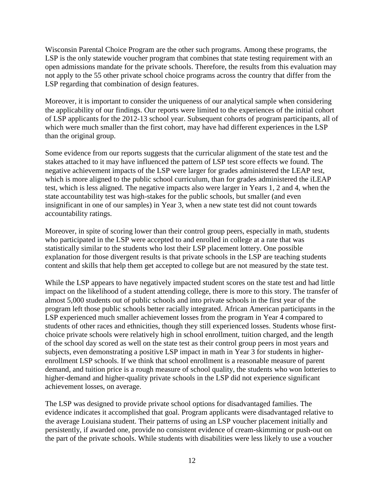Wisconsin Parental Choice Program are the other such programs. Among these programs, the LSP is the only statewide voucher program that combines that state testing requirement with an open admissions mandate for the private schools. Therefore, the results from this evaluation may not apply to the 55 other private school choice programs across the country that differ from the LSP regarding that combination of design features.

Moreover, it is important to consider the uniqueness of our analytical sample when considering the applicability of our findings. Our reports were limited to the experiences of the initial cohort of LSP applicants for the 2012-13 school year. Subsequent cohorts of program participants, all of which were much smaller than the first cohort, may have had different experiences in the LSP than the original group.

Some evidence from our reports suggests that the curricular alignment of the state test and the stakes attached to it may have influenced the pattern of LSP test score effects we found. The negative achievement impacts of the LSP were larger for grades administered the LEAP test, which is more aligned to the public school curriculum, than for grades administered the iLEAP test, which is less aligned. The negative impacts also were larger in Years 1, 2 and 4, when the state accountability test was high-stakes for the public schools, but smaller (and even insignificant in one of our samples) in Year 3, when a new state test did not count towards accountability ratings.

Moreover, in spite of scoring lower than their control group peers, especially in math, students who participated in the LSP were accepted to and enrolled in college at a rate that was statistically similar to the students who lost their LSP placement lottery. One possible explanation for those divergent results is that private schools in the LSP are teaching students content and skills that help them get accepted to college but are not measured by the state test.

While the LSP appears to have negatively impacted student scores on the state test and had little impact on the likelihood of a student attending college, there is more to this story. The transfer of almost 5,000 students out of public schools and into private schools in the first year of the program left those public schools better racially integrated. African American participants in the LSP experienced much smaller achievement losses from the program in Year 4 compared to students of other races and ethnicities, though they still experienced losses. Students whose firstchoice private schools were relatively high in school enrollment, tuition charged, and the length of the school day scored as well on the state test as their control group peers in most years and subjects, even demonstrating a positive LSP impact in math in Year 3 for students in higherenrollment LSP schools. If we think that school enrollment is a reasonable measure of parent demand, and tuition price is a rough measure of school quality, the students who won lotteries to higher-demand and higher-quality private schools in the LSP did not experience significant achievement losses, on average.

The LSP was designed to provide private school options for disadvantaged families. The evidence indicates it accomplished that goal. Program applicants were disadvantaged relative to the average Louisiana student. Their patterns of using an LSP voucher placement initially and persistently, if awarded one, provide no consistent evidence of cream-skimming or push-out on the part of the private schools. While students with disabilities were less likely to use a voucher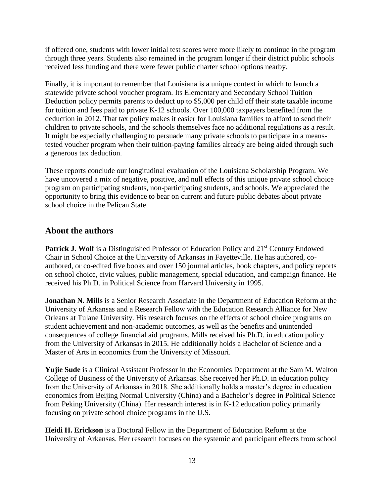if offered one, students with lower initial test scores were more likely to continue in the program through three years. Students also remained in the program longer if their district public schools received less funding and there were fewer public charter school options nearby.

Finally, it is important to remember that Louisiana is a unique context in which to launch a statewide private school voucher program. Its Elementary and Secondary School Tuition Deduction policy permits parents to deduct up to \$5,000 per child off their state taxable income for tuition and fees paid to private K-12 schools. Over 100,000 taxpayers benefited from the deduction in 2012. That tax policy makes it easier for Louisiana families to afford to send their children to private schools, and the schools themselves face no additional regulations as a result. It might be especially challenging to persuade many private schools to participate in a meanstested voucher program when their tuition-paying families already are being aided through such a generous tax deduction.

These reports conclude our longitudinal evaluation of the Louisiana Scholarship Program. We have uncovered a mix of negative, positive, and null effects of this unique private school choice program on participating students, non-participating students, and schools. We appreciated the opportunity to bring this evidence to bear on current and future public debates about private school choice in the Pelican State.

## **About the authors**

**Patrick J. Wolf** is a Distinguished Professor of Education Policy and 21<sup>st</sup> Century Endowed Chair in School Choice at the University of Arkansas in Fayetteville. He has authored, coauthored, or co-edited five books and over 150 journal articles, book chapters, and policy reports on school choice, civic values, public management, special education, and campaign finance. He received his Ph.D. in Political Science from Harvard University in 1995.

**Jonathan N. Mills** is a Senior Research Associate in the Department of Education Reform at the University of Arkansas and a Research Fellow with the Education Research Alliance for New Orleans at Tulane University. His research focuses on the effects of school choice programs on student achievement and non-academic outcomes, as well as the benefits and unintended consequences of college financial aid programs. Mills received his Ph.D. in education policy from the University of Arkansas in 2015. He additionally holds a Bachelor of Science and a Master of Arts in economics from the University of Missouri.

**Yujie Sude** is a Clinical Assistant Professor in the Economics Department at the Sam M. Walton College of Business of the University of Arkansas. She received her Ph.D. in education policy from the University of Arkansas in 2018. She additionally holds a master's degree in education economics from Beijing Normal University (China) and a Bachelor's degree in Political Science from Peking University (China). Her research interest is in K-12 education policy primarily focusing on private school choice programs in the U.S.

**Heidi H. Erickson** is a Doctoral Fellow in the Department of Education Reform at the University of Arkansas. Her research focuses on the systemic and participant effects from school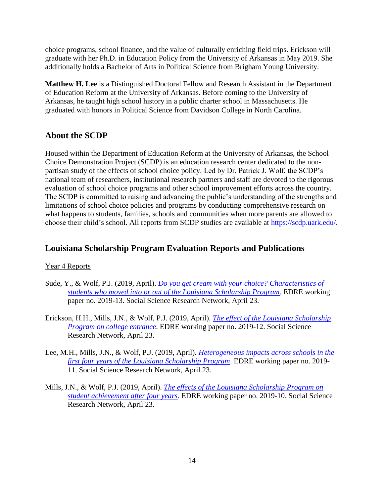choice programs, school finance, and the value of culturally enriching field trips. Erickson will graduate with her Ph.D. in Education Policy from the University of Arkansas in May 2019. She additionally holds a Bachelor of Arts in Political Science from Brigham Young University.

**Matthew H. Lee** is a Distinguished Doctoral Fellow and Research Assistant in the Department of Education Reform at the University of Arkansas. Before coming to the University of Arkansas, he taught high school history in a public charter school in Massachusetts. He graduated with honors in Political Science from Davidson College in North Carolina.

## **About the SCDP**

Housed within the Department of Education Reform at the University of Arkansas, the School Choice Demonstration Project (SCDP) is an education research center dedicated to the nonpartisan study of the effects of school choice policy. Led by Dr. Patrick J. Wolf, the SCDP's national team of researchers, institutional research partners and staff are devoted to the rigorous evaluation of school choice programs and other school improvement efforts across the country. The SCDP is committed to raising and advancing the public's understanding of the strengths and limitations of school choice policies and programs by conducting comprehensive research on what happens to students, families, schools and communities when more parents are allowed to choose their child's school. All reports from SCDP studies are available at [https://scdp.uark.edu/.](https://scdp.uark.edu/)

## **Louisiana Scholarship Program Evaluation Reports and Publications**

#### Year 4 Reports

- Sude, Y., & Wolf, P.J. (2019, April). *[Do you get cream with your choice? Characteristics of](https://papers.ssrn.com/sol3/papers.cfm?abstract_id=3376236)  [students who moved into or out of the Louisiana Scholarship Program](https://papers.ssrn.com/sol3/papers.cfm?abstract_id=3376236)*. EDRE working paper no. 2019-13. Social Science Research Network, April 23.
- Erickson, H.H., Mills, J.N., & Wolf, P.J. (2019, April). *[The effect of the Louisiana Scholarship](https://papers.ssrn.com/sol3/papers.cfm?abstract_id=3376236)  [Program on college entrance](https://papers.ssrn.com/sol3/papers.cfm?abstract_id=3376236)*. EDRE working paper no. 2019-12. Social Science Research Network, April 23.
- Lee, M.H., Mills, J.N., & Wolf, P.J. (2019, April). *[Heterogeneous impacts across schools in the](https://papers.ssrn.com/sol3/papers.cfm?abstract_id=3376234)  [first four years of the Louisiana Scholarship Program](https://papers.ssrn.com/sol3/papers.cfm?abstract_id=3376234)*. EDRE working paper no. 2019- 11. Social Science Research Network, April 23.
- Mills, J.N., & Wolf, P.J. (2019, April). *[The effects of the Louisiana Scholarship Program on](https://papers.ssrn.com/sol3/papers.cfm?abstract_id=3376230)  [student achievement after four years](https://papers.ssrn.com/sol3/papers.cfm?abstract_id=3376230)*. EDRE working paper no. 2019-10. Social Science Research Network, April 23.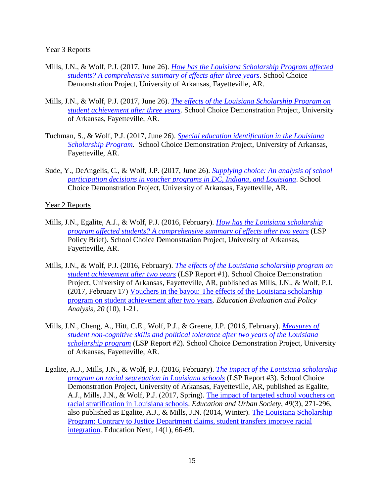#### Year 3 Reports

- Mills, J.N., & Wolf, P.J. (2017, June 26). *[How has the Louisiana Scholarship Program affected](https://cpb-us-e1.wpmucdn.com/wordpressua.uark.edu/dist/9/544/files/2017/06/ERA1706-Policy-Brief-Louisiana-Scholarship-Program-170626-1vk4sdv.pdf)  [students? A comprehensive summary of effects after three years](https://cpb-us-e1.wpmucdn.com/wordpressua.uark.edu/dist/9/544/files/2017/06/ERA1706-Policy-Brief-Louisiana-Scholarship-Program-170626-1vk4sdv.pdf)*. School Choice Demonstration Project, University of Arkansas, Fayetteville, AR.
- Mills, J.N., & Wolf, P.J. (2017, June 26). *[The effects of the Louisiana Scholarship Program on](https://cpb-us-e1.wpmucdn.com/wordpressua.uark.edu/dist/9/544/files/2018/10/the-effects-of-the-louisiana-scholarship-program-on-student-achievement-after-three-years-sau173.pdf)  [student achievement after three years.](https://cpb-us-e1.wpmucdn.com/wordpressua.uark.edu/dist/9/544/files/2018/10/the-effects-of-the-louisiana-scholarship-program-on-student-achievement-after-three-years-sau173.pdf)* School Choice Demonstration Project, University of Arkansas, Fayetteville, AR.
- Tuchman, S., & Wolf, P.J. (2017, June 26). *[Special education identification in the Louisiana](https://cpb-us-e1.wpmucdn.com/wordpressua.uark.edu/dist/9/544/files/2018/10/special-education-identification-in-the-louisiana-scholarship-program-1wpgm35.pdf)  [Scholarship Program.](https://cpb-us-e1.wpmucdn.com/wordpressua.uark.edu/dist/9/544/files/2018/10/special-education-identification-in-the-louisiana-scholarship-program-1wpgm35.pdf)* School Choice Demonstration Project, University of Arkansas, Fayetteville, AR.
- Sude, Y., DeAngelis, C., & Wolf, J.P. (2017, June 26). *[Supplying choice: An analysis of school](https://cpb-us-e1.wpmucdn.com/wordpressua.uark.edu/dist/9/544/files/2018/10/supplying-choice-an-analysis-of-school-participation-decisions-in-voucher-programs-in-dc-indiana-and-louisiana-2b4v28i.pdf)  [participation decisions in voucher programs in DC, Indiana, and Louisiana](https://cpb-us-e1.wpmucdn.com/wordpressua.uark.edu/dist/9/544/files/2018/10/supplying-choice-an-analysis-of-school-participation-decisions-in-voucher-programs-in-dc-indiana-and-louisiana-2b4v28i.pdf)*. School Choice Demonstration Project, University of Arkansas, Fayetteville, AR.

#### Year 2 Reports

- Mills, J.N., Egalite, A.J., & Wolf, P.J. (2016, February). *[How has the Louisiana scholarship](https://cpb-us-e1.wpmucdn.com/wordpressua.uark.edu/dist/9/544/files/2018/10/policy-brief-how-has-the-louisiana-scholarship-program-affected-students-1vy88h7.pdf)  [program affected students? A comprehensive summary of effects after two years](https://cpb-us-e1.wpmucdn.com/wordpressua.uark.edu/dist/9/544/files/2018/10/policy-brief-how-has-the-louisiana-scholarship-program-affected-students-1vy88h7.pdf)* (LSP Policy Brief). School Choice Demonstration Project, University of Arkansas, Fayetteville, AR.
- Mills, J.N., & Wolf, P.J. (2016, February). *[The effects of the Louisiana scholarship program on](http://www.uaedreform.org/the-effects-of-the-louisiana-scholarship-program-on-student-achievement-after-two-years/)  [student achievement after two years](http://www.uaedreform.org/the-effects-of-the-louisiana-scholarship-program-on-student-achievement-after-two-years/)* (LSP Report #1). School Choice Demonstration Project, University of Arkansas, Fayetteville, AR, published as Mills, J.N., & Wolf, P.J. (2017, February 17) [Vouchers in the bayou: The effects of the Louisiana scholarship](http://journals.sagepub.com/stoken/default+domain/rny5Jru8VdKdTrgeRBkd/full)  [program on student achievement after two years.](http://journals.sagepub.com/stoken/default+domain/rny5Jru8VdKdTrgeRBkd/full) *Education Evaluation and Policy Analysis, 20* (10), 1-21.
- Mills, J.N., Cheng, A., Hitt, C.E., Wolf, P.J., & Greene, J.P. (2016, February). *[Measures of](http://www.uaedreform.org/measures-of-student-non-cognitive-skills-and-political-tolerance-after-two-years-of-the-louisiana-scholarship-program/)  [student non-cognitive skills and political tolerance after two years of the Louisiana](http://www.uaedreform.org/measures-of-student-non-cognitive-skills-and-political-tolerance-after-two-years-of-the-louisiana-scholarship-program/)  [scholarship program](http://www.uaedreform.org/measures-of-student-non-cognitive-skills-and-political-tolerance-after-two-years-of-the-louisiana-scholarship-program/)* (LSP Report #2). School Choice Demonstration Project, University of Arkansas, Fayetteville, AR.
- Egalite, A.J., Mills, J.N., & Wolf, P.J. (2016, February). *[The impact of the Louisiana scholarship](http://www.uaedreform.org/the-impact-of-the-louisiana-scholarship-program-on-racial-segregation-in-louisiana-schools/)  [program on racial segregation in Louisiana schools](http://www.uaedreform.org/the-impact-of-the-louisiana-scholarship-program-on-racial-segregation-in-louisiana-schools/)* (LSP Report #3). School Choice Demonstration Project, University of Arkansas, Fayetteville, AR, published as Egalite, A.J., Mills, J.N., & Wolf, P.J. (2017, Spring). [The impact of targeted school vouchers on](https://journals.sagepub.com/doi/full/10.1177/0013124516643760)  [racial stratification in Louisiana schools.](https://journals.sagepub.com/doi/full/10.1177/0013124516643760) *Education and Urban Society*, *49*(3), 271-296, also published as Egalite, A.J., & Mills, J.N. (2014, Winter). [The Louisiana Scholarship](https://educationnext.org/files/ednext_XIV_1_egalite.pdf)  [Program: Contrary to Justice Department claims, student transfers improve racial](https://educationnext.org/files/ednext_XIV_1_egalite.pdf)  [integration.](https://educationnext.org/files/ednext_XIV_1_egalite.pdf) Education Next, 14(1), 66-69.